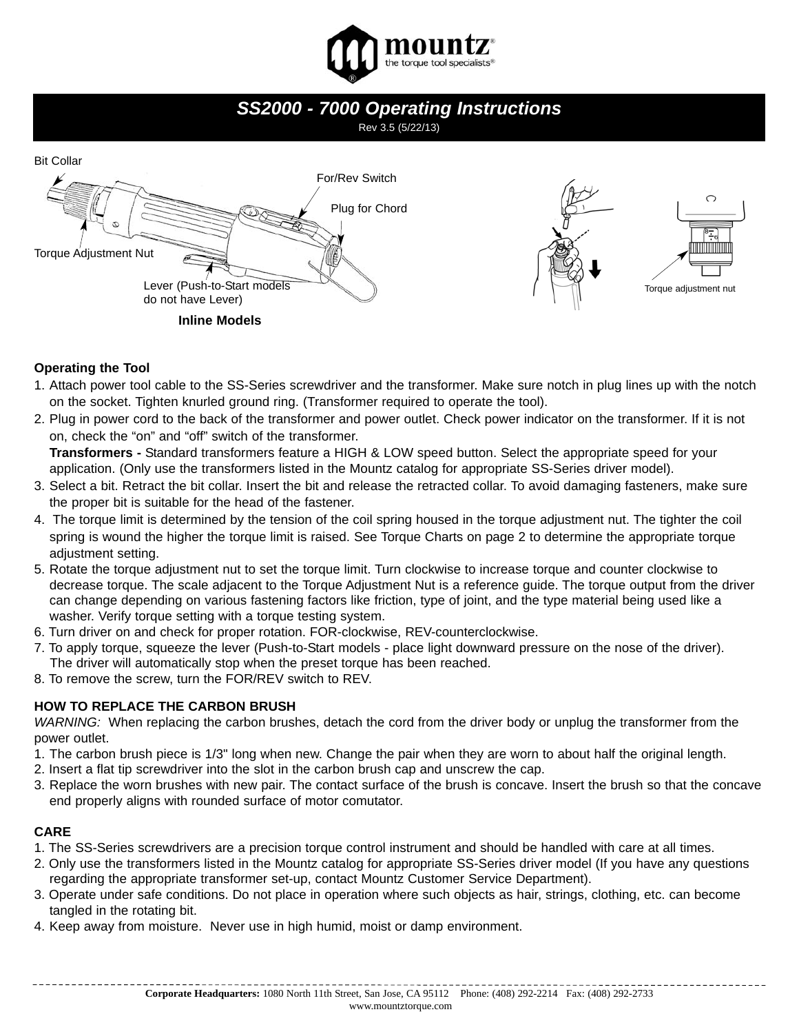

## *SS2000 - 7000 Operating Instructions*

## Rev 3.5 (5/22/13)



#### **Operating the Tool**

- 1. Attach power tool cable to the SS-Series screwdriver and the transformer. Make sure notch in plug lines up with the notch on the socket. Tighten knurled ground ring. (Transformer required to operate the tool).
- 2. Plug in power cord to the back of the transformer and power outlet. Check power indicator on the transformer. If it is not on, check the "on" and "off" switch of the transformer.

**Transformers -** Standard transformers feature a HIGH & LOW speed button. Select the appropriate speed for your application. (Only use the transformers listed in the Mountz catalog for appropriate SS-Series driver model).

- 3. Select a bit. Retract the bit collar. Insert the bit and release the retracted collar. To avoid damaging fasteners, make sure the proper bit is suitable for the head of the fastener.
- 4. The torque limit is determined by the tension of the coil spring housed in the torque adjustment nut. The tighter the coil spring is wound the higher the torque limit is raised. See Torque Charts on page 2 to determine the appropriate torque adjustment setting.
- 5. Rotate the torque adjustment nut to set the torque limit. Turn clockwise to increase torque and counter clockwise to decrease torque. The scale adjacent to the Torque Adjustment Nut is a reference guide. The torque output from the driver can change depending on various fastening factors like friction, type of joint, and the type material being used like a washer. Verify torque setting with a torque testing system.
- 6. Turn driver on and check for proper rotation. FOR-clockwise, REV-counterclockwise.
- 7. To apply torque, squeeze the lever (Push-to-Start models place light downward pressure on the nose of the driver). The driver will automatically stop when the preset torque has been reached.
- 8. To remove the screw, turn the FOR/REV switch to REV.

#### **HOW TO REPLACE THE CARBON BRUSH**

*WARNING:* When replacing the carbon brushes, detach the cord from the driver body or unplug the transformer from the power outlet.

- 1. The carbon brush piece is 1/3" long when new. Change the pair when they are worn to about half the original length.
- 2. Insert a flat tip screwdriver into the slot in the carbon brush cap and unscrew the cap.
- 3. Replace the worn brushes with new pair. The contact surface of the brush is concave. Insert the brush so that the concave end properly aligns with rounded surface of motor comutator.

#### **CARE**

- 1. The SS-Series screwdrivers are a precision torque control instrument and should be handled with care at all times.
- 2. Only use the transformers listed in the Mountz catalog for appropriate SS-Series driver model (If you have any questions regarding the appropriate transformer set-up, contact Mountz Customer Service Department).
- 3. Operate under safe conditions. Do not place in operation where such objects as hair, strings, clothing, etc. can become tangled in the rotating bit.
- 4. Keep away from moisture. Never use in high humid, moist or damp environment.